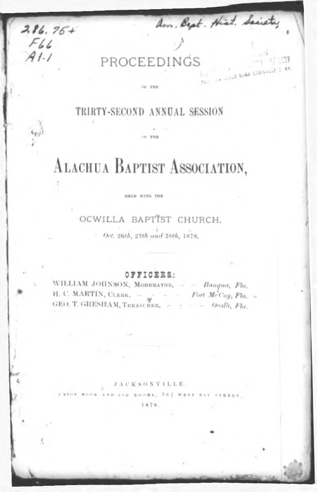PROCEEDINGS

 $286.76+$ 

 $F66$  $41 - 1$ 

am, Bept. Hist. Sacrety

 $761$ 

In credit space Louisville 5, av.

### TRIRTY-SECOND ANNUAL SESSION

or vice

OF THE

# ALACHUA BAPTIST ASSOCIATION,

#### HELD WITH THE

### OCWILLA BAPTIST CHURCH.

Oct. 26th, 27th and 28th, 1878.

OFFICERS:

WILLIAM JOHNSON, MODERATOR, - - Bangna, Fla. H. C. MARTIN, CLERK. -  $\psi$  - - Fort McCoy, Fla. -GEO, T. GRESHAM, TREASURER, - - - Ocalà, Fla.

#### **JACKSONVILLE**

ROOMS, 563 WEST BA 1878.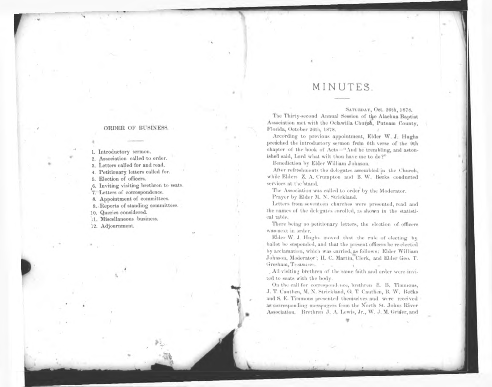#### ORDER OF BUSINESS.

1. Introductory sermon. 2. Association called to order. 3. Letters called for and read. 4. Petitionary letters called for. 5. Election of officers. 6. Inviting visiting brethren to seats. 7. Letters of correspondence. 8. Appointment of committees. 9. Reports of standing committees. 10. Queries considered. 11. Miscellaneous business. 12. Adjournment.

## MINUTES.

#### SATURDAY, Oct. 26th, 1878.

The Thirty-second Annual Session of the Alachua Baptist Association met with the Oclawilla Church, Putnam County, Florida, October 26th, 1878.

**According to previous appointment, Elder W. J. Hughs preached the introductory sermon from 6th verse of the 9th chapter of the book of Acts—"And he trembling, and astonished said, Lord what wilt thou have me to do ?"**

**Benediction by Elder William Johnson.**

**After refreshments the delegates assembled in the Church, while Elders Z. A. Crumpton and B. W. Becks conducted services at the stand.**

**The Association was called to order by the Moderator.**

**Prayer by Elder M. N. Strickland.**

Letters from seventeen churches were presented, read and the names of the delegates enrolled, as shown in the statistical table.

There being no petitionary letters, the election of officers was next in order.

**Elder W. J. Hughs moved that the rule of electing by ballot be suspended, and that the present officers be re-elected by acclamation, which was carried, as follows: Elder William Johnson, Moderator; H. C. Martin, Clerk, and Elder Geo. T. Gresham, Treasurer. ,**

. All visiting brethren of the same faith and order were invited to seats with the body.

**On the call for correspondence, brethren E. B. Timmons, J. T. Cauthen, M. N. Strickland, G. T. Cauthen, B. W. Becks and S. E. Timmons presented themselves and were received as corresponding messengers from the North St. Johns River Association. Brethren J. A. Lewis, Jr., W. J. M. Grider,and**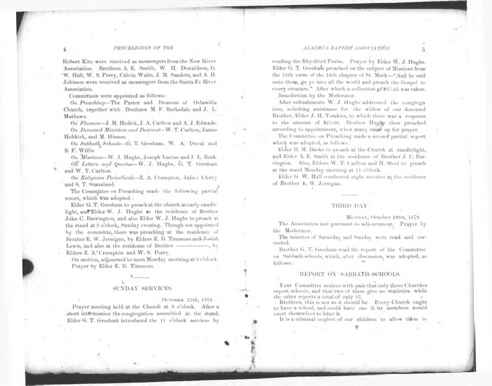#### ALACHUA BAPTIST ASSOCIATION.

#### PROCEEDINGS OF THE

**Robert Kite were received as messengers from the New River Association. Brethren A. E. Smith, W. H. Donaldson, G. W. Hall, W. S. Perry, Calvin Waits, J. M. Sanders, and A. H. Johnson were received as messengers from the Santa Fe River Association.**

Committees were appointed as follows:

*On Preaching—***The Pastor and Deacons of Oclawilla Church, together with Brethren M. F. Barksdale and J. L. Mathews.**

*On Finance—***J***.* **M. Hedick, J. A. Carlton and A. J. Edwads.** *On Deceased Ministers and Deacons—***W. T. Carlton, James Hobkirk, and M. Hinson.**

 $On$  *Sabbath*, *Schools*—G. T. Gresham. W. A. Duval and **B. F. Willis.**

*On Missions***—W. J. Hughs, Joseph Lucius and J. L. Beck.** *On <sup>L</sup>etters and Queries—***W. J. Hughs, G. T. Gresham and W. T. Carlton.**

*On Religious Periodicals—***Z. A. Crumpton, James Chitty and S. T. Stanaland. .**

The Committee on Preaching made the following partial resort, which was adopted :

**Elder G. T. Gresham to preach at the church at early candlelight, and Elder W. J. Hughs at the residence of Brother John C. Barrington, and also Ehler W. J. Hughs to preach at the stand at 3 o'clock, Sunday evening. Though not appointed by the committe, there was preaching at the residence of Brother E. W. Jernigan, by Elders E. B. Timmons and Josiah Lewis, and also at the residence of Brother ---------------- , by Elders Z. A.Crumpton and W. S. Perry.**

**On motion, adjourned to meet Monday morning at 9 o'clock. Prayer by Elder E. B. Timmons.**

#### SUNDAY SERVICES.

OCTOBER 27th, 1878.

Prayer meeting held at the Church at 9 o'clock. After a short intermission ths congregation assembled at the stand. **Elder G. T. Gresham introduced the 11 o'clock services by** **reading the fifty-third Psalm. Prayer by Elder W. J. Hughs. Elder G. T. Gresham preached on the subject of Missions from the 15th verse of the 16th chapter of St. Mark** unto them, go ye into all the world and preach the Gospel to every creature." After which a collection of \$37.55 was taken. Benediction by the Moderator.

**After refreshments W. J. Hughs addressed the congregation, soliciting assistance for the widow of our deceased Brother, Elder J. H. Tomkies, to which there was a response to the amount of \$25.00. Brother Hughs then preached according to appointment, when many came up for prayer.**

The Committee on Preaching made a second partial report which was adopted, as follows:

**Ehler B. M. Becks to preach at the Church at candlelight, and Elder A. E. Smith at the residence of Brother J. C. Barrington. Also, Elders W. T. Carlton and H. Steel to preach at the stand Monday morning at 1<sup>1</sup> o'clock.**

**Elder G W. Hall conducted night services at the residence of Brother h. W. Jernigan.**

#### THIRD DAY.

MONDAY, October 28TH, 1878.

The Association met pursuant to adjournment. Prayer by the Moderator.

The minutes of Saturday and Sunday were read and corrected.

**Brother G. T. Gresham read the report of the Committee on Sabbath-schools, which, after discussion, was adopted, as follows:**

#### REPORT ON SABBATH-SCHOOLS.

Your Committee notices with pain that only three Churches report schools, and that two of these give no statistics while the other reports a total of only 37,

Brethren, this is not as it should be. Every Church ought to have a school, and could have one if-its members would exert themselves to have it.

It is a criminal neglect of our children to allow them to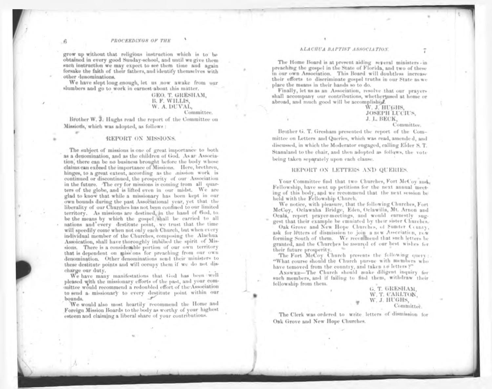grow up without that religious instruction which is to be obtained in every good Sunday-school, and until we give them such instruction we may expect to see them time and again forsake the faith of their fathers, and identify themselves with other denominations.

We have slept long enough, let us now awake from our slumbers and go to work in earnest about this matter.

#### **GEO. T. GRESHAM, B. F. WILLIS, W. A. DUVAL, Committee.**

Brother W. J. Hughs read the report of the Committee on Missions, which was adopted, as follows :

#### **REPORT ON MISSIONS.**

The subject of missions is one of great importance to both as a denomination, and as the children of God. As an Association, there can be no business brought before the body whose claims can exceed the importance of Missions. Here, brethren, hinges, to a great extent, according as the mission work is continued or discontinued, the prosperity of our Association in the future. The cry for missions is coming from all quarters of the globe, and is lifted even in our midst. We are glad to know that while a missionary has been kept in our own bounds during the past Associational year, yet that the liberality of our Churches has not been confined to our limited territory. As missions are destined, in the hand of God, to be the means by which the gospel shall be carried to all nations and every destitute point, we trust that the time will speedily come when not only each Church, but when every individual member of the Churches, composing the Alachua Assoication, shall have thoroughly imbibed the spirit of Missions. There is a considerable portion of our own territory that is dependent on missions for preaching from our own denomination. Other denominations send their ministers to these destitute points and will occupy them if we do not discharge our duty.

We have many manifestations that God has been well pleased with the missionary efforts of the past, and your committee would recommend a redoubled effort of the Association to send a missionary to every destitute point within our bounds.

We would also most heartily recommend the Home and Foreign Mission Boards to the body as worthy of your highest esteem and claiming a liberal share of your contributions.

#### **ALACHUA BAPTIST ASSOCIATION.**

The Home Board is at present aiding several ministers - in preaching the gospel in the State of Florida, and two of these in our own Association. This Board will doubtless increase their efforts to discriminate gospel truths in our State as we place the means in their hands so to do.

Finally, let us as an Association, resolve that our pravers shall accompany our contributions, whether used at home or abroad, and much good will be accomplished.

> **W. J. HUGHS,** Joseph Lucius, **J. L. BECK,**

**Committee.**

**Brother G. T. Gresham presented the report of the Committee on Letters and Queries, which wa<sup>s</sup> read, amended, and discussed, in which the Moderator engaged, calling Elder S. T. Stanaland to the chair, and then adopted as follows, the vote being taken separately upon each clause.**

#### **REPORT ON LETTERS AND QUERIES.**

Your Committee find that two Churches, Fort McCoy and Fellowship, have sent up petitions for the next annual meeting of this body, and we recommend that the next session be held with the Fellowship Church.

We notice, with pleasure, that the following Churches, Fort McCoy, Oclawaha Bridge, Eden, Oclawilla, Mt. Arnon and Ocala, report prayer-meetings, and would earnestly suggest that their example be emuiated by their sister Churches.

Oak Grove and New Hope Churches, of Sunder County. ask for letters of dismission to join a new Association, new forming South of them. We recommend that such letters be granted, and the Churches be assured of our best wishes for their future prosperity.

The Fort McCoy Church presents the following query: "What course should the Church pursue with members who have temoved from the country, and taken L0 letters ?"

ANSWER-The Church should make diligent inquiry for such members, and if failing to find them, withdraw their fellowship from them.

**G. T. GRESHAM, W. T. CARLTON, W. J. HUGHS, Committee.**

The Clerk was ordered to write letters of dismission for Oak Grove and New Hope Churches.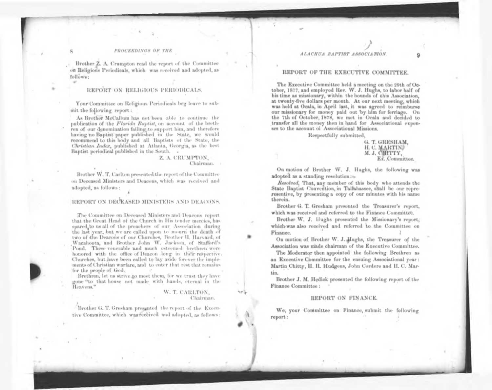#### PROCEEDINGS OF THE

**Brother Z. A. Crumpton read the report of the Committee on Religious Periodicals, which was received and adopted, as follows:**

#### **REPORT ON RELIGIOUS PERIODICALS.**

Your Committee on Religious Periodicals beg leave to submit the following report:

**As Brother McCallum has not been able to continue the publication of the** *Florida Baptist,* **on account of the brethren of our denomination failing to support him, and therefore having no Baptist paper published in the state, we would recommend to this body and all Baptists of the state, the** *Christian Index,* **published at Atlanta, Georgia, as the best Baptist periodical published in the South.**

#### **Z. A. CRUMPTON, Chairman.**

**Brother W. T. Carlton presented the report ofthe Committee on Deceased Ministers and Deacons, which was received and adopted, as follows:**

#### **REPORT ON DECEASED MINISTERS AND DEACONS.**

**The Committee on Deceased Ministers and Deacons report that the Great Head of the Church in His tender mercies, has spared to us all of the preachers of our Association during the last year, but we are called upon to mourn the death of two of the Deacons of our Churches, Brother H. Harvard, of Wacahoota, and Brother John W. Jackson, of Stafford's** Pond. These venerable and much esteemed brethren were honored with the office of Deacon long in their respective. Churches, but have been called to lay aside forever the implements of Christian warfare, and to enter that rest that remains for the people of God.

Brethren, let us strive to meet them, for we trust they have gone "to that house not made with hands, eternal in the Heavens."

#### **W. T. CARLTON, Chairman.**

**Brother G. T. Gresham presented the report of the Executive Committee, which was received and adopted, as follows:**

#### ALACHUA BAPTIST ASSOCIATION.

#### **REPORT OF THE EXECUTIVE COMMITTEE.**

**The Executive Committee held a meeting on the 29th ofOc<sup>t</sup>ober, 1877, and employed Rev. W. J. Hughs, to labor half of his time as missionary, within the bounds of this Association, at twenty-five dollars per month.** our missionary for money paid out by him for ferriage. On the 7th of October, 1878, we met in Ocala and decided to transfer all the money then in hand for Associational expenses to the account of Associational Missions.

Respectfully submitted,

**G. T. GRESHAM, H. C. MARTIN, M. J. CHITTY, Ex. Committee.**

**On motion of Brother <sup>W</sup>'. J. Hughs, the following was adopted as a standing resolution:**

Resolved, That, any member of this body who attends the State Baptist Convention, in Tallahassee, shall be our repreresentive, by presenting a copy of our minutes with his name therein.

**Brother G. T. Gresham presented the Treasurer's report, which was received and referred to the Finance Committee.**

**Brother W. J. Hughs presented the Missionary's report, which was also received and referred to the Committee on Finance.**

**O<sup>n</sup> motion of Brother W. J. Hughs, the Treasurer of the Association was made chairman of the Executive Committee.**

**The Moderator then appointed the following Brethren as an Executive Committee for the ensuing Associational year: Martin Chitty, H. H. Hudgens, John Cordere and H. C. Martin.**

**Brother J. M. Hedick presented the following report of the Finance Committee:**

#### **REPORT ON FINANCE.**

We, your Committee on Finance, submit the following report: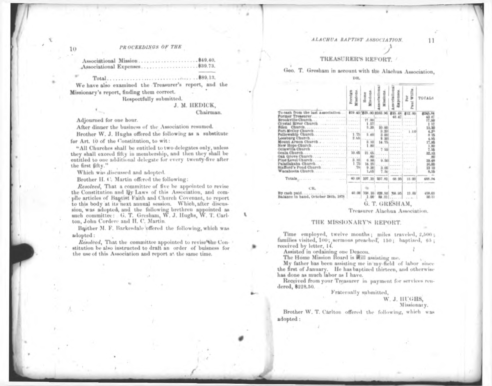ALACHUA BAPTIST ASSOCIATION.

### PROCEEDINGS OF THE

| Associational Expenses \$39.73 |  |
|--------------------------------|--|

We have also examined the Treasurer's report, and the Missionary's report, finding them correct.

Respectfully submitted.

#### **J. M. HEDICK,**

#### **Chairman.**

Adjourned for one hour.

After dinner the business of the Association resumed.

**Brother W. J. Hughs offered the following as a substitute**

**for Art. 10 of the Constitution, to wit:**

"All Churches shall be entitled to two delegates only, unless they shall exceed fifty in membership, and then they shall be entitled to one additional delegate for every twenty-five after the first fifty."

Which was discussed and adopted.

**Brother H. C. Martin offered the following:**

Resolved, That a committee of five be appointed to revise the Constitution and By Laws of this Association, and compile articles of Baptist Faith and Church Covenant, to report to this body at its next annual session. Which, after discus**sum, was adopted, and the following brethren appointed as such committee: G. T. Gresham, W. J. Hughs, W. T. Carlton, John Cordere and H. C. Martin.**

**Bother M. E. Barkesdale offered the following, which was adopted:**

Resolved, That the committee appointed to revise the Constitution be also instructed to draft an order of buisness for the use of this Association and report at the same time.

#### **TREASURERS REPORT.**

#### **Geo. T. Gresham in account with the Alachua Association,** DR.

|                                                                     | <b>Missions</b><br>Poreign | Home<br>Isslops | sociatio<br>listicus      | sociation<br>penses | ă<br>k<br>hia l | <b>TO FALS</b>                                   |  |  |  |  |  |
|---------------------------------------------------------------------|----------------------------|-----------------|---------------------------|---------------------|-----------------|--------------------------------------------------|--|--|--|--|--|
| To cash from the last Association \$19.40(\$25.00 \$163.96 \$25.48) |                            |                 |                           |                     | 素1世 (W)         |                                                  |  |  |  |  |  |
|                                                                     |                            |                 |                           |                     |                 |                                                  |  |  |  |  |  |
|                                                                     |                            | 17.00           |                           |                     |                 | 17.00                                            |  |  |  |  |  |
| Crystal River Church<br>Eden                                        |                            | 1.57<br>3.00    | CHREST BARRIST TALLAST    |                     |                 |                                                  |  |  |  |  |  |
|                                                                     |                            |                 | 10.00                     | <b>CALLANT</b>      |                 | 11.30                                            |  |  |  |  |  |
| Fort McCoy Church<br>Fellowship Church                              |                            |                 |                           | cabi est            |                 |                                                  |  |  |  |  |  |
|                                                                     |                            |                 |                           |                     |                 | 6.585                                            |  |  |  |  |  |
| <b>STREETHER CHEESE</b><br>Mount Arnon Church                       |                            | 3.10            | 14.75                     |                     |                 |                                                  |  |  |  |  |  |
|                                                                     |                            | 1.8             | $1 - 1 - 1$               |                     |                 | $17.86$<br>$1.80$<br>$7.56$<br>$7.56$<br>$12.80$ |  |  |  |  |  |
| Ocala Church                                                        | 10.05                      | 21.65           | 755                       |                     |                 |                                                  |  |  |  |  |  |
|                                                                     |                            |                 |                           |                     |                 |                                                  |  |  |  |  |  |
|                                                                     |                            |                 |                           |                     |                 | 19.48                                            |  |  |  |  |  |
|                                                                     |                            | 14.25           |                           |                     |                 | 16.00                                            |  |  |  |  |  |
| Stafford's Pond Church                                              | $-76$                      |                 |                           | 3.05 Sizes Lines    |                 |                                                  |  |  |  |  |  |
|                                                                     |                            | 1,05            | 7.50                      |                     |                 |                                                  |  |  |  |  |  |
|                                                                     | $-40.08$                   | 107, 10         | <b>UST H3</b>             | 66.95               |                 |                                                  |  |  |  |  |  |
| CR.                                                                 |                            |                 |                           |                     |                 |                                                  |  |  |  |  |  |
| By cash paid<br>Balance in hand, October 24th, 1878                 |                            | $-1.00$         | 40.08 108.10 228.50 %6.95 | $29.31$             | $-15.00$        |                                                  |  |  |  |  |  |
|                                                                     |                            |                 | G. T. GRESHAM,            |                     |                 |                                                  |  |  |  |  |  |

**Treasurer Alachua Association.**

#### **THE MISSIONARY'S REPORT.**

Time employed, twelve months; miles traveled, 2,500; families visited, 100; sermons preached, 150; baptized, 65; received by letter, 14.

Assisted in ordaining one Deacon.

The Home Mission Board is will assisting me.

My father has been assisting me in my-field of labor since the first of January. He has baptized thirteen, and otherwise has done as much labor as I have.

Received from your Treasurer in payment for services rendered, \$228.50.

Fraternally submitted,

#### **W. J. HUGHS, Missionary.**

**Brother W. T. Carlton offered the following, which was adopted:**

10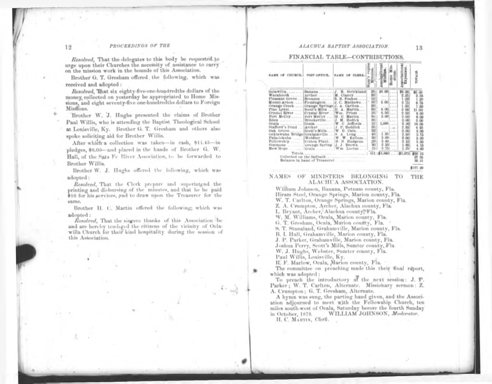#### PROCEEDINGS OF THE

Resolved, That the delegates to this body be requested to urge upon their Churches the necessity of assistance to carry on the mission work in the bounds of this Association.

**Brother G. T. Gresham offered the following, which was received and adopted :**

Resolved, That six eighty-five-one-hundredths dollars of the money, collected on yesterday be appropriated to Home Missions, and eight seventy-five one-hundredths dollars to Foreign Missions.

**Brother W. J. Hughs presented the claims of Brother Paul Willis, who is attending the Baptist Theological school at Louisville, Ky. Brother G. T. Gresham and others also spoke soliciting aid for Brother Wiilis.**

**After which a collection was taken—in cash, \$11.45—in pledges, \$8.00—and placed in the hands of Brother G. W. Hall, of the Sala Fe River Association, to be forwarded to Brother Willis.**

**Brother W. J. Hughs offered the following, which was adopted:**

Resolved, That the Clerk prepare and superintend the printing and disbursing of the minutes, and that he be paid \$10 for his services, and to draw upon the Treasurer for the same.

**Brother H. C. Martin offered the following; which was**

**adopted**: *Resolved*, That the singere thanks of this Association be and are hereby tendoged the citizens of the vicinity of Oclawilla Church for their kind hospitality during the session of this Association.

#### ALACHUA BAPTIST ASSOCIATION.

#### FINANCIAL TABLE-CONTRIBUTIONS.

|                                                                                                                                                                                                                                                                                                                                                                                                                                                                                                                                                                                                                           | OFFICE. | OF CLERK.<br>NAME                |                             |                                                                                                                                                                                                                                        | sociation                                                                                                                                                                                         |                                                                                                              |
|---------------------------------------------------------------------------------------------------------------------------------------------------------------------------------------------------------------------------------------------------------------------------------------------------------------------------------------------------------------------------------------------------------------------------------------------------------------------------------------------------------------------------------------------------------------------------------------------------------------------------|---------|----------------------------------|-----------------------------|----------------------------------------------------------------------------------------------------------------------------------------------------------------------------------------------------------------------------------------|---------------------------------------------------------------------------------------------------------------------------------------------------------------------------------------------------|--------------------------------------------------------------------------------------------------------------|
| Oclawilla,    Banana  J. B. Strickland<br>Wacahooth  [Archer M. Clancy<br>Pleasant Grove   Bronson    S. B. Foakes<br>Mount Arnon    Fiemington  J. C. Mathews <br>Orange Creek   Orange Springs   J. A. Cariton<br>Pine Level Scott's Mills  D. A. Martin<br>Crystal River  Crystal River    Wm. Priest<br>Fort McCoy Fort McCoy  H. C. Martin<br>Stafford's Pond _   Archer J. P. Reddick<br>Oak Grove [Scott's Mills   W. D. Cain<br>Ocklawaha Bridge Grahamville  [8. A. Long<br>Paladokaha Webster  W. W. Kellum<br>Fellowship<br>1.1.1.1<br>simmons  urange Spring   J. J. Brown<br>New Hope    Ocala    Wm. Lucius |         | [Cotton Plant,    H. H. Hudgens. | 12<br>12<br>35<br>às<br>411 | [0.00]<br>111122211<br>$1777$ $14444$<br>$5.00$<br>$1861$ <b>A655</b><br>8.001<br>6.001<br>$3.00$<br>service service<br>1.000<br><br>involved a<br>1.40<br>$3.00$<br>3.40<br>2.50<br>1.111<br>8.75<br>$-11$<br><b>赤4、140  ま5、973 ま</b> | \$2.00<br>2.35<br>20<br>8.55<br>ı<br>.50 <sub>0</sub><br>$\overline{\mathbf{a}}$<br>$^{00}$<br>50<br>00 <sup>1</sup><br>3.00<br>딮<br>.00<br>r<br>.90<br>2.00<br>8.80<br>ä.<br>300<br>2.10<br>1.65 | 11.00<br>9.00<br>0.00<br>5.00<br>12.00<br>98<br><b>DO</b><br>3.15<br>$\frac{5.00}{5.00}$<br>4.15<br>00<br>55 |

#### NAMES OF MINISTERS BELONGING TO THE ALACHUA ASSOCIATION.

**William Johnson, Banana, Putnam county, Fla. Hiram steel, Orange springs, Marion county, Fla. W. T. Carlton, Orange springs, Marion county, Fla. Z. A. Crampton, Archer, Alachua county, Fla. L Bryant, Archer, Alachua county, Fla. W. M. Williams, Ocala, Marion county, Fla. G. T. Gresham, Ocala, Marion county, Fla. S. T. Stanaland, Grahamville, Marion county, Fla. B. I. Hull, Grahamville, Marion county, Fla. J. P. Parker, Grahamville, Marion county, Fla. Joshua Perry, Scott's Mills, Hunter county, Fla W. J. Hughs, Webster, Sumter county, Fla. Paul Willis, Louisville, Ky. R. F. Marlow, Ocala, Marion county, Fla.**

The committee on preaching made this their final report, which was adopted:

**To preach the introductory at the next session: J. P. Parker; W. T. Carlton, Alternate. Missionary sermon: Z. A. Crumpton; G. T. Gresham, Alternate.**

ation adjourned to meet with the Fellowship Church, ten **WILLIAM JOHNSON,** *Moderator.* **H. C. Martin,** *Clerk.*

12

13